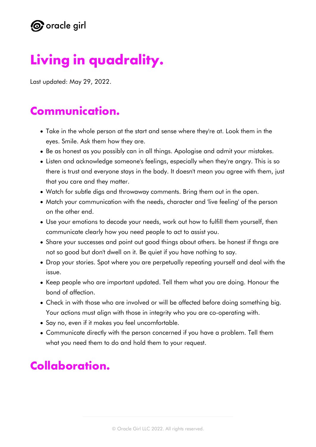

# **Living in quadrality.**

Last updated: May 29, 2022.

#### **Communication.**

- Take in the whole person at the start and sense where they're at. Look them in the eyes. Smile. Ask them how they are.
- Be as honest as you possibly can in all things. Apologise and admit your mistakes.
- Listen and acknowledge someone's feelings, especially when they're angry. This is so there is trust and everyone stays in the body. It doesn't mean you agree with them, just that you care and they matter.
- Watch for subtle digs and throwaway comments. Bring them out in the open.
- Match your communication with the needs, character and 'live feeling' of the person on the other end.
- Use your emotions to decode your needs, work out how to fulfill them yourself, then communicate clearly how you need people to act to assist you.
- Share your successes and point out good things about others. be honest if thngs are not so good but don't dwell on it. Be quiet if you have nothing to say.
- Drop your stories. Spot where you are perpetually repeating yourself and deal with the issue.
- Keep people who are important updated. Tell them what you are doing. Honour the bond of affection.
- Check in with those who are involved or will be affected before doing something big. Your actions must align with those in integrity who you are co-operating with.
- Say no, even if it makes you feel uncomfortable.
- Communicate directly with the person concerned if you have a problem. Tell them what you need them to do and hold them to your request.

## **Collaboration.**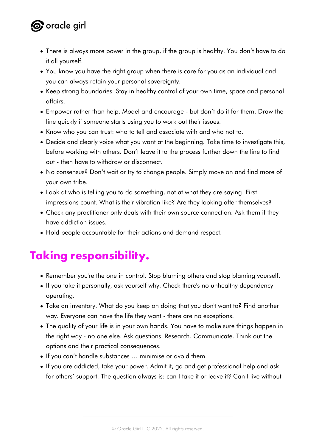## **O** oracle girl

- There is always more power in the group, if the group is healthy. You don't have to do it all yourself.
- You know you have the right group when there is care for you as an individual and you can always retain your personal sovereignty.
- Keep strong boundaries. Stay in healthy control of your own time, space and personal affairs.
- Empower rather than help. Model and encourage but don't do it for them. Draw the line quickly if someone starts using you to work out their issues.
- Know who you can trust: who to tell and associate with and who not to.
- Decide and clearly voice what you want at the beginning. Take time to investigate this, before working with others. Don't leave it to the process further down the line to find out - then have to withdraw or disconnect.
- No consensus? Don't wait or try to change people. Simply move on and find more of your own tribe.
- Look at who is telling you to do something, not at what they are saying. First impressions count. What is their vibration like? Are they looking after themselves?
- Check any practitioner only deals with their own source connection. Ask them if they have addiction issues.
- Hold people accountable for their actions and demand respect.

## **Taking responsibility.**

- Remember you're the one in control. Stop blaming others and stop blaming yourself.
- If you take it personally, ask yourself why. Check there's no unhealthy dependency operating.
- Take an inventory. What do you keep on doing that you don't want to? Find another way. Everyone can have the life they want - there are no exceptions.
- The quality of your life is in your own hands. You have to make sure things happen in the right way - no one else. Ask questions. Research. Communicate. Think out the options and their practical consequences.
- If you can't handle substances … minimise or avoid them.
- If you are addicted, take your power. Admit it, go and get professional help and ask for others' support. The question always is: can I take it or leave it? Can I live without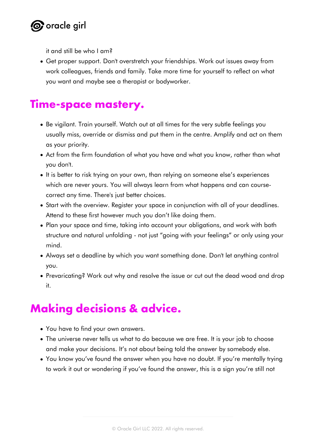

it and still be who I am?

Get proper support. Don't overstretch your friendships. Work out issues away from work colleagues, friends and family. Take more time for yourself to reflect on what you want and maybe see a therapist or bodyworker.

#### **Time-space mastery.**

- Be vigilant. Train yourself. Watch out at all times for the very subtle feelings you usually miss, override or dismiss and put them in the centre. Amplify and act on them as your priority.
- Act from the firm foundation of what you have and what you know, rather than what you don't.
- It is better to risk trying on your own, than relying on someone else's experiences which are never yours. You will always learn from what happens and can coursecorrect any time. There's just better choices.
- Start with the overview. Register your space in conjunction with all of your deadlines. Attend to these first however much you don't like doing them.
- Plan your space and time, taking into account your obligations, and work with both structure and natural unfolding - not just "going with your feelings" or only using your mind.
- Always set a deadline by which you want something done. Don't let anything control you.
- Prevaricating? Work out why and resolve the issue or cut out the dead wood and drop it.

## **Making decisions & advice.**

- You have to find your own answers.
- The universe never tells us what to do because we are free. It is your job to choose and make your decisions. It's not about being told the answer by somebody else.
- You know you've found the answer when you have no doubt. If you're mentally trying to work it out or wondering if you've found the answer, this is a sign you're still not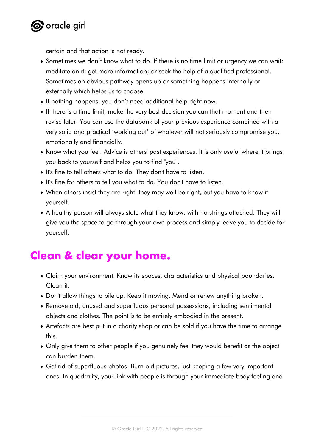

certain and that action is not ready.

- Sometimes we don't know what to do. If there is no time limit or urgency we can wait; meditate on it; get more information; or seek the help of a qualified professional. Sometimes an obvious pathway opens up or something happens internally or externally which helps us to choose.
- If nothing happens, you don't need additional help right now.
- If there is a time limit, make the very best decision you can that moment and then revise later. You can use the databank of your previous experience combined with a very solid and practical 'working out' of whatever will not seriously compromise you, emotionally and financially.
- Know what you feel. Advice is others' past experiences. It is only useful where it brings you back to yourself and helps you to find "you".
- It's fine to tell others what to do. They don't have to listen.
- It's fine for others to tell you what to do. You don't have to listen.
- When others insist they are right, they may well be right, but you have to know it yourself.
- A healthy person will always state what they know, with no strings attached. They will give you the space to go through your own process and simply leave you to decide for yourself.

#### **Clean & clear your home.**

- Claim your environment. Know its spaces, characteristics and physical boundaries. Clean it.
- Don't allow things to pile up. Keep it moving. Mend or renew anything broken.
- Remove old, unused and superfluous personal possessions, including sentimental objects and clothes. The point is to be entirely embodied in the present.
- Artefacts are best put in a charity shop or can be sold if you have the time to arrange this.
- Only give them to other people if you genuinely feel they would benefit as the object can burden them.
- Get rid of superfluous photos. Burn old pictures, just keeping a few very important ones. In quadrality, your link with people is through your immediate body feeling and